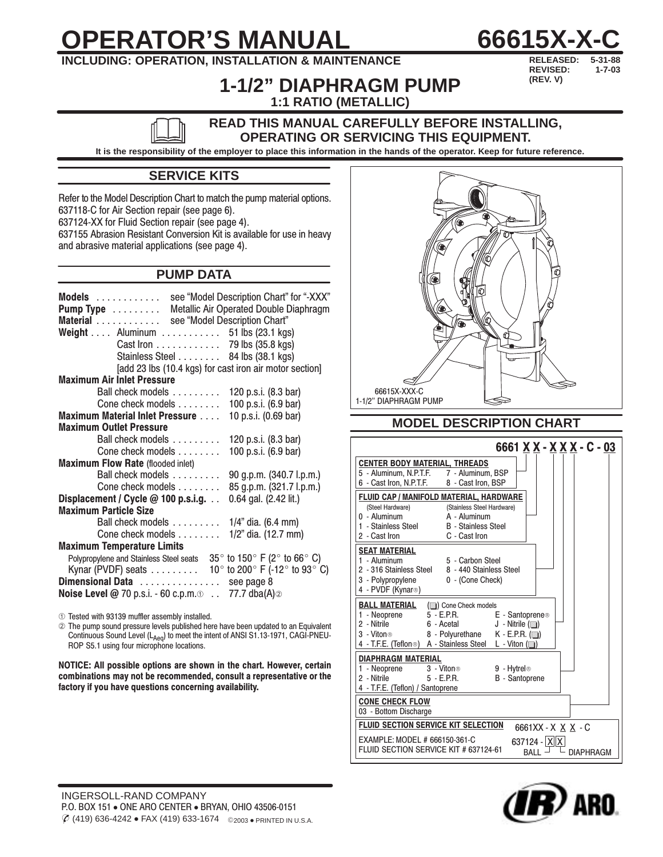# **OPERATOR'S MANUAL**



## **INCLUDING: OPERATION, INSTALLATION & MAINTENANCE**

5-31-88 REVISED:  $1 - 7 - 03$ (REV. V)

## **1-1/2" DIAPHRAGM PUMP** 1:1 RATIO (METALLIC)

#### READ THIS MANUAL CAREFULLY BEFORE INSTALLING, **OPERATING OR SERVICING THIS EQUIPMENT.**

It is the responsibility of the employer to place this information in the hands of the operator. Keep for future reference.

## **SERVICE KITS**

Refer to the Model Description Chart to match the pump material options. 637118-C for Air Section repair (see page 6). 637124-XX for Fluid Section repair (see page 4). 637155 Abrasion Resistant Conversion Kit is available for use in heavy and abrasive material applications (see page 4).

## **PUMP DATA**

| see "Model Description Chart" for "-XXX"<br>Models<br>Metallic Air Operated Double Diaphragm<br>Pump Type<br>see "Model Description Chart"<br>Material<br>Weight Aluminum $\ldots$ 51 lbs (23.1 kgs)<br>Cast Iron 79 lbs (35.8 kgs)<br>Stainless Steel 84 lbs (38.1 kgs)<br>[add 23 lbs (10.4 kgs) for cast iron air motor section] |
|-------------------------------------------------------------------------------------------------------------------------------------------------------------------------------------------------------------------------------------------------------------------------------------------------------------------------------------|
| <b>Maximum Air Inlet Pressure</b>                                                                                                                                                                                                                                                                                                   |
| Ball check models<br>120 p.s.i. (8.3 bar)                                                                                                                                                                                                                                                                                           |
| 100 p.s.i. (6.9 bar)<br>Cone check models                                                                                                                                                                                                                                                                                           |
| 10 p.s.i. (0.69 bar)<br><b>Maximum Material Inlet Pressure </b>                                                                                                                                                                                                                                                                     |
| <b>Maximum Outlet Pressure</b>                                                                                                                                                                                                                                                                                                      |
| Ball check models<br>120 p.s.i. (8.3 bar)                                                                                                                                                                                                                                                                                           |
| 100 p.s.i. (6.9 bar)<br>Cone check models                                                                                                                                                                                                                                                                                           |
| <b>Maximum Flow Rate (flooded inlet)</b>                                                                                                                                                                                                                                                                                            |
| Ball check models<br>90 g.p.m. (340.7 l.p.m.)                                                                                                                                                                                                                                                                                       |
| 85 g.p.m. (321.7 l.p.m.)<br>Cone check models                                                                                                                                                                                                                                                                                       |
| Displacement / Cycle @ 100 p.s.i.g.<br>0.64 gal. (2.42 lit.)                                                                                                                                                                                                                                                                        |
| <b>Maximum Particle Size</b>                                                                                                                                                                                                                                                                                                        |
| $1/4$ " dia. (6.4 mm)<br>Ball check models                                                                                                                                                                                                                                                                                          |
| Cone check models<br>1/2" dia. (12.7 mm)                                                                                                                                                                                                                                                                                            |
| <b>Maximum Temperature Limits</b>                                                                                                                                                                                                                                                                                                   |
| Polypropylene and Stainless Steel seats 35 $^{\circ}$ to 150 $^{\circ}$ F (2 $^{\circ}$ to 66 $^{\circ}$ C)<br>Kynar (PVDF) seats $\dots \dots$ 10° to 200° F (-12° to 93° C)<br>Dimensional Data  see page 8<br><b>Noise Level @</b> 70 p.s.i. - 60 c.p.m. $\odot$ 77.7 dba(A) $\oslash$                                           |

1 Tested with 93139 muffler assembly installed.

The pump sound pressure levels published here have been updated to an Equivalent Continuous Sound Level (LAeg) to meet the intent of ANSI S1.13-1971, CAGI-PNEU-ROP S5.1 using four microphone locations.

NOTICE: All possible options are shown in the chart. However, certain combinations may not be recommended, consult a representative or the factory if you have questions concerning availability.



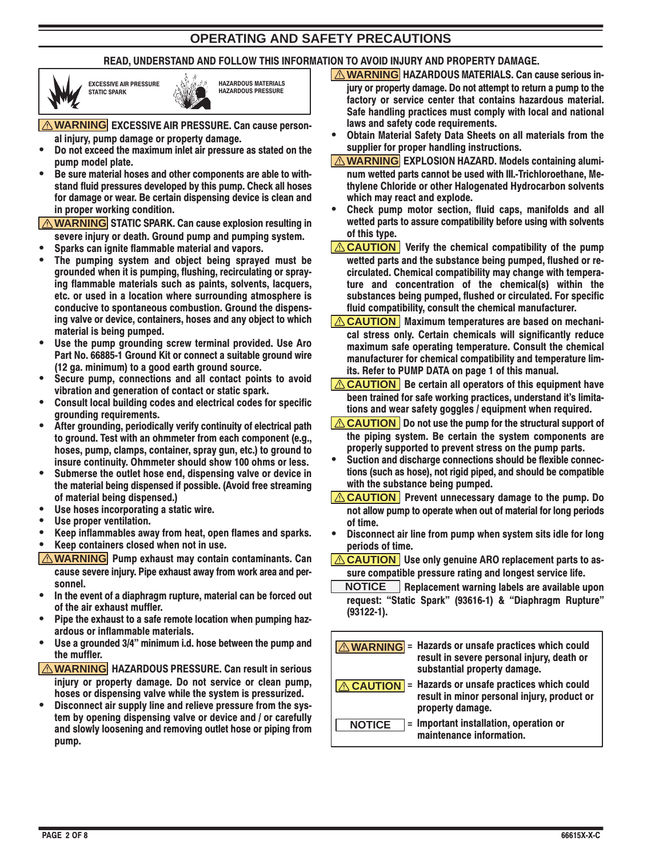## **OPERATING AND SAFETY PRECAUTIONS**

#### READ. UNDERSTAND AND FOLLOW THIS INFORMATION TO AVOID INJURY AND PROPERTY DAMAGE.







**A WARNING EXCESSIVE AIR PRESSURE. Can cause person**al injury, pump damage or property damage.

- Do not exceed the maximum inlet air pressure as stated on the pump model plate.
- Be sure material hoses and other components are able to withstand fluid pressures developed by this pump. Check all hoses for damage or wear. Be certain dispensing device is clean and in proper working condition.

**A WARNING** STATIC SPARK. Can cause explosion resulting in severe injury or death. Ground pump and pumping system.

- Sparks can junite flammable material and vapors.
- The pumping system and object being sprayed must be grounded when it is pumping, flushing, recirculating or spraying flammable materials such as paints, solvents, lacquers, etc. or used in a location where surrounding atmosphere is conducive to spontaneous combustion. Ground the dispensing valve or device, containers, hoses and any object to which material is being pumped.
- Use the pump grounding screw terminal provided. Use Aro Part No. 66885-1 Ground Kit or connect a suitable ground wire (12 ga. minimum) to a good earth ground source.
- Secure pump, connections and all contact points to avoid vibration and generation of contact or static spark.
- Consult local building codes and electrical codes for specific aroundina requirements.
- After grounding, periodically verify continuity of electrical path to ground. Test with an ohmmeter from each component (e.g., hoses, pump, clamps, container, spray gun, etc.) to ground to insure continuity. Ohmmeter should show 100 ohms or less.
- Submerse the outlet hose end, dispensing valve or device in the material being dispensed if possible. (Avoid free streaming of material being dispensed.)
- Use hoses incorporating a static wire.
- Use proper ventilation.
- Keep inflammables away from heat, open flames and sparks.
- Keep containers closed when not in use.
- **A WARNING** Pump exhaust may contain contaminants. Can cause severe injury. Pipe exhaust away from work area and personnel.
- In the event of a diaphragm rupture, material can be forced out of the air exhaust muffler.
- Pipe the exhaust to a safe remote location when pumping hazardous or inflammable materials.
- Use a grounded 3/4" minimum i.d. hose between the pump and the muffler.
- │△ WARNING HAZARDOUS PRESSURE. Can result in serious injury or property damage. Do not service or clean pump, hoses or dispensing valve while the system is pressurized.
- Disconnect air supply line and relieve pressure from the system by opening dispensing valve or device and / or carefully and slowly loosening and removing outlet hose or piping from pump.
- **A WARNING** HAZARDOUS MATERIALS. Can cause serious injury or property damage. Do not attempt to return a pump to the factory or service center that contains hazardous material. Safe handling practices must comply with local and national laws and safety code requirements.
- Obtain Material Safety Data Sheets on all materials from the supplier for proper handling instructions.
- **A WARNING EXPLOSION HAZARD. Models containing alumi**num wetted parts cannot be used with III.-Trichloroethane, Methylene Chloride or other Halogenated Hydrocarbon solvents which may react and explode.
- $\bullet$ Check pump motor section, fluid caps, manifolds and all wetted parts to assure compatibility before using with solvents of this type.
- **ACAUTION** Verify the chemical compatibility of the pump wetted parts and the substance being pumped, flushed or recirculated. Chemical compatibility may change with temperature and concentration of the chemical(s) within the substances being pumped, flushed or circulated. For specific fluid compatibility, consult the chemical manufacturer.
- **EXAUTION** | Maximum temperatures are based on mechanical stress only. Certain chemicals will significantly reduce maximum safe operating temperature. Consult the chemical manufacturer for chemical compatibility and temperature limits. Refer to PUMP DATA on page 1 of this manual.
- $\Delta$  CAUTION | Be certain all operators of this equipment have been trained for safe working practices, understand it's limitations and wear safety goggles / equipment when required.
- $\Delta$  CAUTION Do not use the pump for the structural support of the piping system. Be certain the system components are properly supported to prevent stress on the pump parts.
- $\bullet$ Suction and discharge connections should be flexible connections (such as hose), not rigid piped, and should be compatible with the substance being pumped.
- $\Delta$  CAUTION | Prevent unnecessary damage to the pump. Do not allow pump to operate when out of material for long periods of time.
- Disconnect air line from pump when system sits idle for long  $\bullet$ periods of time.
- **CAUTION** Use only genuine ARO replacement parts to assure compatible pressure rating and longest service life.
- NOTICE Replacement warning labels are available upon request: "Static Spark" (93616-1) & "Diaphragm Rupture"  $(93122-1).$

|               | <b>A WARNING</b> = Hazards or unsafe practices which could<br>result in severe personal injury, death or<br>substantial property damage. |
|---------------|------------------------------------------------------------------------------------------------------------------------------------------|
|               | <b>LO CAUTION</b> = Hazards or unsafe practices which could<br>result in minor personal injury, product or<br>property damage.           |
| <b>NOTICE</b> | = Important installation, operation or<br>maintenance information.                                                                       |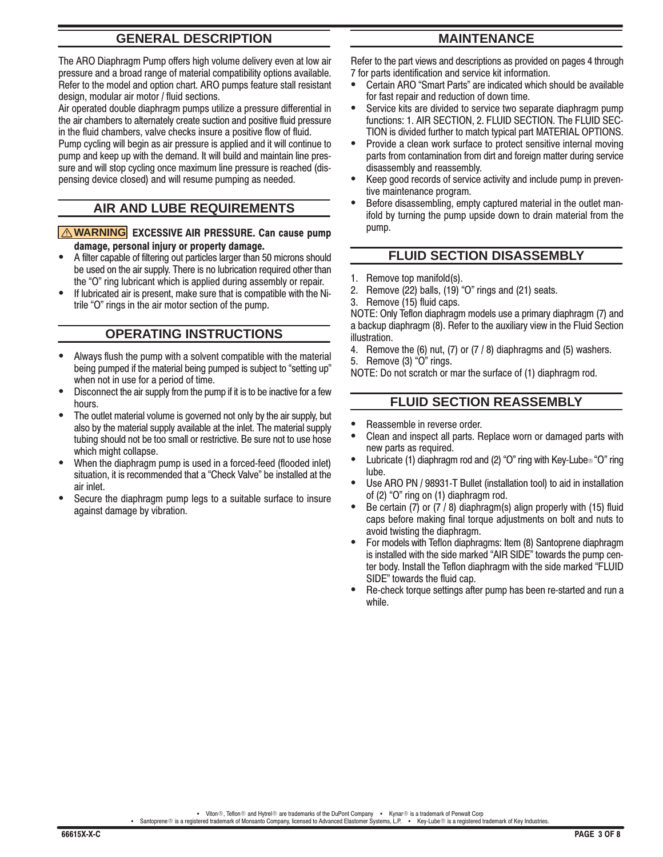## **GENERAL DESCRIPTION**

The ARO Diaphragm Pump offers high volume delivery even at low air pressure and a broad range of material compatibility options available. Refer to the model and option chart. ARO pumps feature stall resistant design, modular air motor / fluid sections.

Air operated double diaphragm pumps utilize a pressure differential in the air chambers to alternately create suction and positive fluid pressure in the fluid chambers, valve checks insure a positive flow of fluid.

Pump cycling will begin as air pressure is applied and it will continue to pump and keep up with the demand. It will build and maintain line pressure and will stop cycling once maximum line pressure is reached (dispensing device closed) and will resume pumping as needed.

## **AIR AND LUBE REQUIREMENTS**

#### **A WARNING EXCESSIVE AIR PRESSURE. Can cause pump** damage, personal injury or property damage.

- A filter capable of filtering out particles larger than 50 microns should be used on the air supply. There is no lubrication required other than the "O" ring lubricant which is applied during assembly or repair.
- If lubricated air is present, make sure that is compatible with the Nitrile "O" rings in the air motor section of the pump.

## **OPERATING INSTRUCTIONS**

- Always flush the pump with a solvent compatible with the material being pumped if the material being pumped is subject to "setting up" when not in use for a period of time.
- Disconnect the air supply from the pump if it is to be inactive for a few hours
- The outlet material volume is governed not only by the air supply, but also by the material supply available at the inlet. The material supply tubing should not be too small or restrictive. Be sure not to use hose which might collapse.
- When the diaphragm pump is used in a forced-feed (flooded inlet) situation, it is recommended that a "Check Valve" be installed at the air inlet
- Secure the diaphragm pump legs to a suitable surface to insure against damage by vibration.

## **MAINTENANCE**

Refer to the part views and descriptions as provided on pages 4 through 7 for parts identification and service kit information.

- Certain ARO "Smart Parts" are indicated which should be available for fast repair and reduction of down time.
- Service kits are divided to service two separate diaphragm pump functions: 1. AIR SECTION, 2. FLUID SECTION. The FLUID SEC-TION is divided further to match typical part MATERIAL OPTIONS.
- Provide a clean work surface to protect sensitive internal moving parts from contamination from dirt and foreign matter during service disassembly and reassembly.
- Keep good records of service activity and include pump in preventive maintenance program.
- Before disassembling, empty captured material in the outlet manifold by turning the pump upside down to drain material from the pump.

#### **FLUID SECTION DISASSEMBLY**

- 1. Remove top manifold(s).
- Remove (22) balls, (19) "O" rings and (21) seats.  $2.$
- Remove (15) fluid caps.  $\mathbf{R}$

NOTE: Only Teflon diaphragm models use a primary diaphragm (7) and a backup diaphragm (8). Refer to the auxiliary view in the Fluid Section illustration.

- 4. Remove the  $(6)$  nut,  $(7)$  or  $(7/8)$  diaphragms and  $(5)$  washers.
- 5. Remove (3) "O" rings.

NOTE: Do not scratch or mar the surface of (1) diaphragm rod.

#### **FLUID SECTION REASSEMBLY**

- Reassemble in reverse order.
- Clean and inspect all parts. Replace worn or damaged parts with new parts as required.
- Lubricate (1) diaphragm rod and (2) "O" ring with Key-Lube 6 "O" ring lube.
- Use ARO PN / 98931-T Bullet (installation tool) to aid in installation of (2) "O" ring on (1) diaphragm rod.
- Be certain (7) or (7 / 8) diaphragm(s) align properly with (15) fluid caps before making final torque adjustments on bolt and nuts to avoid twisting the diaphragm.
- $\bullet$ For models with Teflon diaphragms: Item (8) Santoprene diaphragm is installed with the side marked "AIR SIDE" towards the pump center body. Install the Teflon diaphragm with the side marked "FLUID SIDE" towards the fluid cap.
- Re-check torque settings after pump has been re-started and run a while.

• Viton®, Teflon® and Hytrel® are trademarks of the DuPont Company • Kynar® is a trademark of Penwalt Corp<br>• Santoprene® is a registered trademark of Monsanto Company, licensed to Advanced Elastomer Systems, L.P. • Key-Lub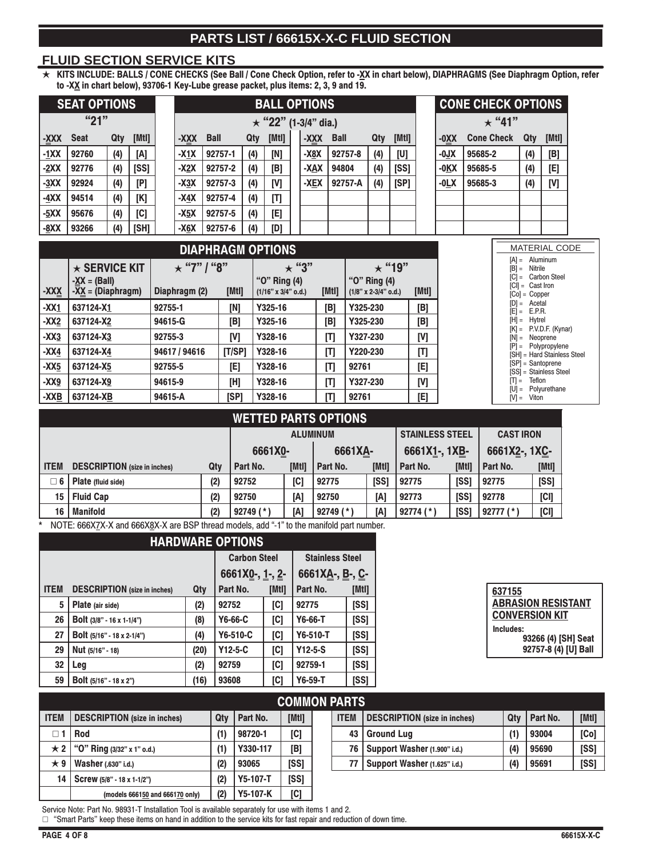## PARTS LIST / 66615X-X-C FLUID SECTION

#### **FLUID SECTION SERVICE KITS**

KITS INCLUDE: BALLS / CONE CHECKS (See Ball / Cone Check Option, refer to -XX in chart below), DIAPHRAGMS (See Diaphragm Option, refer<br>to -XX in chart below), 93706-1 Key-Lube grease packet, plus items: 2, 3, 9 and 19.  $\star$ 

|             | <b>SEAT OPTIONS</b>                                                      |     |        |         |                                    | <b>BALL OPTIONS</b>      |     |                                            |  |             |             |          |                                        |              |        | <b>CONE CHECK OPTIONS</b> |         |                               |                                                  |                                 |  |
|-------------|--------------------------------------------------------------------------|-----|--------|---------|------------------------------------|--------------------------|-----|--------------------------------------------|--|-------------|-------------|----------|----------------------------------------|--------------|--------|---------------------------|---------|-------------------------------|--------------------------------------------------|---------------------------------|--|
|             | "21"                                                                     |     |        |         |                                    |                          |     | $\star$ "22" (1-3/4" dia.)                 |  |             |             |          |                                        |              |        |                           |         | $\star$ "41"                  |                                                  |                                 |  |
| <b>XXX-</b> | <b>Seat</b>                                                              | Qty | [[Mtl] |         | XXX-                               | <b>Ball</b>              | Qty | [[Mtl]                                     |  | <b>XXX-</b> | <b>Ball</b> |          | Qty                                    | [[Mtl]       |        | -0XX                      |         | <b>Cone Check</b>             | Qty                                              | [[Mtl]                          |  |
| $-1XX$      | 92760                                                                    | (4) | [A]    |         | $-X1X$                             | 92757-1                  | (4) | [N]                                        |  | -X8X        |             | 92757-8  | (4)                                    | [U]          |        | $-0JX$                    | 95685-2 |                               | (4)                                              | [B]                             |  |
| $-2XX$      | 92776                                                                    | (4) | [SS]   |         | $-X2X$                             | 92757-2                  | (4) | [B]                                        |  | -XAX        | 94804       |          | (4)                                    | [SS]         |        | $-0$ KX                   | 95685-5 |                               | (4)                                              | [E]                             |  |
| $-3XX$      | 92924                                                                    | (4) | [P]    |         | $-X3X$                             | 92757-3                  | (4) | [V]                                        |  | $-XEX$      |             | 92757-A  | (4)                                    | [SP]         |        | $-0LX$                    | 95685-3 |                               | (4)                                              | [V]                             |  |
| $-4XX$      | 94514                                                                    | (4) | [K]    |         | $-X4X$                             | 92757-4                  | (4) | [T]                                        |  |             |             |          |                                        |              |        |                           |         |                               |                                                  |                                 |  |
| $-5XX$      | 95676                                                                    | (4) | [C]    |         | $-X5X$                             | 92757-5                  | (4) | [E]                                        |  |             |             |          |                                        |              |        |                           |         |                               |                                                  |                                 |  |
| $-8XX$      | 93266                                                                    | (4) | [SH]   |         | $-X6X$                             | 92757-6                  | (4) | [D]                                        |  |             |             |          |                                        |              |        |                           |         |                               |                                                  |                                 |  |
|             |                                                                          |     |        |         |                                    | <b>DIAPHRAGM OPTIONS</b> |     |                                            |  |             |             |          |                                        |              |        |                           |         |                               |                                                  | <b>MATERIAL CODE</b>            |  |
| -XXX        | $\star$ SERVICE KIT<br>$-\underline{XX} = (Ball)$<br>$-XX = (Diaphragm)$ |     |        |         | $\star$ "7" / "8"<br>Diaphragm (2) | [Mtl]                    |     | "O" Ring (4)<br>$(1/16" \times 3/4"$ o.d.) |  | $\star$ "3" | [Mtl]       |          | "O" Ring (4)<br>$(1/8"$ x 2-3/4" o.d.) | $\star$ "19" | [[Mtl] |                           |         | $[A] =$<br>$[B] =$<br>$ C $ = | Nitrile<br>$ CI  =$ Cast Iron<br>$[Co] = Copper$ | Aluminum<br><b>Carbon Steel</b> |  |
| $-XX1$      | 637124-X1                                                                |     |        | 92755-1 |                                    | [N]                      |     | Y325-16                                    |  |             | [B]         | Y325-230 |                                        |              | [B]    |                           |         | $[D] =$<br>ΙEΙ                | Acetal<br>E.P.R.<br>$=$                          |                                 |  |
| <b>VV9</b>  | <b>CO710A VO</b>                                                         |     |        | 0.015C  |                                    | TD1                      |     | <b>VOOR 16</b>                             |  |             | TD1         | VOOR OON |                                        |              | TD1    |                           |         |                               | $H = HvtrA$                                      |                                 |  |

| -wy    | <b>DJIIZ4-AZ</b> | ט-כו ס4ט      | וסן    | 1929-10 | נסן                        | 1 JZJ-ZJU | ופן |
|--------|------------------|---------------|--------|---------|----------------------------|-----------|-----|
| $-XX3$ | 637124-X3        | 92755-3       | [V]    | Y328-16 |                            | Y327-230  | [V] |
| $-XX4$ | 637124-X4        | 94617 / 94616 | [T/SP] | Y328-16 |                            | Y220-230  | [T] |
| $-XX5$ | 637124-X5        | 92755-5       | [E]    | Y328-16 | $\left[ \textsf{T}\right]$ | 92761     | [E] |
| -XX9   | 637124-X9        | 94615-9       | [H]    | Y328-16 | [T                         | Y327-230  | [V] |
| -XXB   | 637124-XB        | 94615-A       | [SP]   | Y328-16 |                            | 92761     |     |
|        |                  |               |        |         |                            |           |     |

|                 | <b>MATERIAL CODE</b>        |
|-----------------|-----------------------------|
|                 | $[A] =$ Aluminum            |
| $[B] =$ Nitrile |                             |
|                 | [C] = Carbon Steel          |
|                 | $ CI  =$ Cast Iron          |
|                 | $[Co] = Copper$             |
|                 | $[D] = Acctal$              |
|                 | $[E] = E.P.R.$              |
|                 | $[H] =$ Hytrel              |
|                 | $[K] = P.V.D.F. (Kynar)$    |
|                 | $[N] =$ Neoprene            |
|                 | $[P] = Polypropylene$       |
|                 | [SH] = Hard Stainless Steel |
|                 | [SP] = Santoprene           |
|                 | [SS] = Stainless Steel      |
|                 | $\Pi =$ Teflon              |
|                 | $[U] =$ Polyurethane        |
| $[V] =$ Viton   |                             |

#### **WETTED PARTS OPTIONS**

|             |                                     |     | <b>ALUMINUM</b> |       |             |       | <b>STAINLESS STEEL</b> |       | <b>CAST IRON</b> |       |
|-------------|-------------------------------------|-----|-----------------|-------|-------------|-------|------------------------|-------|------------------|-------|
|             |                                     |     | 6661X0-         |       | 6661XA-     |       | 6661X1-, 1XB-          |       | 6661X2-, 1XC-    |       |
| <b>ITEM</b> | <b>DESCRIPTION</b> (size in inches) | Qty | Part No.        | [Mtl] | Part No.    | [Mtl] | Part No.               | [Mtl] | Part No.         | [Mtl] |
| ∃ 6         | Plate (fluid side)                  | (2) | 92752           | [C]   | 92775       | [SS]  | 92775                  | [SS]  | 92775            | [SS]  |
| 15 I        | <b>Fluid Cap</b>                    | (2) | 92750           | [A]   | 92750       | [A]   | 92773                  | [SS]  | 92778            | [CI]  |
| 16          | <b>Manifold</b>                     | (2) | $92749$ (*)     | A     | $92749$ (*) | [A]   | $92774$ (*)            | [SS]  | $92777$ (*)      | [CI]  |

NOTE: 666XZX-X and 666X8X-X are BSP thread models, add "-1" to the manifold part number.

|             | <b>HARDWARE OPTIONS</b>             |                         |           |                        |             |       |  |  |  |
|-------------|-------------------------------------|-------------------------|-----------|------------------------|-------------|-------|--|--|--|
|             |                                     | <b>Carbon Steel</b>     |           | <b>Stainless Steel</b> |             |       |  |  |  |
|             |                                     | 6661X <u>0-, 1-, 2-</u> |           | 6661XA-, B-, C-        |             |       |  |  |  |
| <b>ITEM</b> | <b>DESCRIPTION</b> (size in inches) | Qty                     | Part No.  | [MtI]                  | Part No.    | [Mtl] |  |  |  |
| 5           | Plate (air side)                    | (2)                     | 92752     | [C]                    | 92775       | [SS]  |  |  |  |
| 26          | Bolt $(3/8" - 16 \times 1 - 1/4")$  | (8)                     | Y6-66-C   | [C]                    | $Y6-66-T$   | [SS]  |  |  |  |
| 27          | <b>Bolt</b> (5/16" - 18 x 2-1/4")   | (4)                     | Y6-510-C  | [C]                    | Y6-510-T    | [SS]  |  |  |  |
| 29          | Nut (5/16" - 18)                    | (20)                    | $Y12-5-C$ | [C]                    | $Y12 - 5-S$ | [SS]  |  |  |  |
| 32          | Leg                                 | (2)                     | 92759     | [C]                    | 92759-1     | [SS]  |  |  |  |
| 59          | <b>Bolt</b> (5/16" - 18 x 2")       | (16)                    | 93608     | [C]                    | $Y6-59-T$   | [SS]  |  |  |  |

| 637155                    |
|---------------------------|
| <b>ABRASION RESISTANT</b> |
| <b>CONVERSION KIT</b>     |
| Includes:                 |
| 93266 (4) [SH] Seat       |
| 92757-8 (4) [U] Ball      |

|             | <b>COMMON PARTS</b>                 |     |                 |            |  |             |                                     |     |          |        |
|-------------|-------------------------------------|-----|-----------------|------------|--|-------------|-------------------------------------|-----|----------|--------|
| <b>ITEM</b> | <b>DESCRIPTION</b> (size in inches) | Qty | Part No.        | [[Mt]]     |  | <b>ITEM</b> | <b>DESCRIPTION</b> (size in inches) | Qty | Part No. | [[Mt]] |
|             | <b>Rod</b>                          | (1) | 98720-1         | [C]        |  | 43          | <b>Ground Lug</b>                   |     | 93004    | [Co]   |
| $\star$ 2   | "O" Ring (3/32" x 1" o.d.)          | (1) | Y330-117        | [B]        |  | 76          | Support Washer (1.900" i.d.)        | (4) | 95690    | [SS]   |
| ★ 9         | Washer (.630" i.d.)                 | (2) | 93065           | [SS]       |  | 77          | Support Washer (1.625" i.d.)        | (4) | 95691    | [SS]   |
| 14 I        | Screw (5/8" - 18 x 1-1/2")          | (2) | <b>Y5-107-T</b> | [SS]       |  |             |                                     |     |          |        |
|             | (models 666150 and 666170 only)     | (2) | <b>Y5-107-K</b> | <b>ICI</b> |  |             |                                     |     |          |        |

Service Note: Part No. 98931-T Installation Tool is available separately for use with items 1 and 2.

□ "Smart Parts" keep these items on hand in addition to the service kits for fast repair and reduction of down time.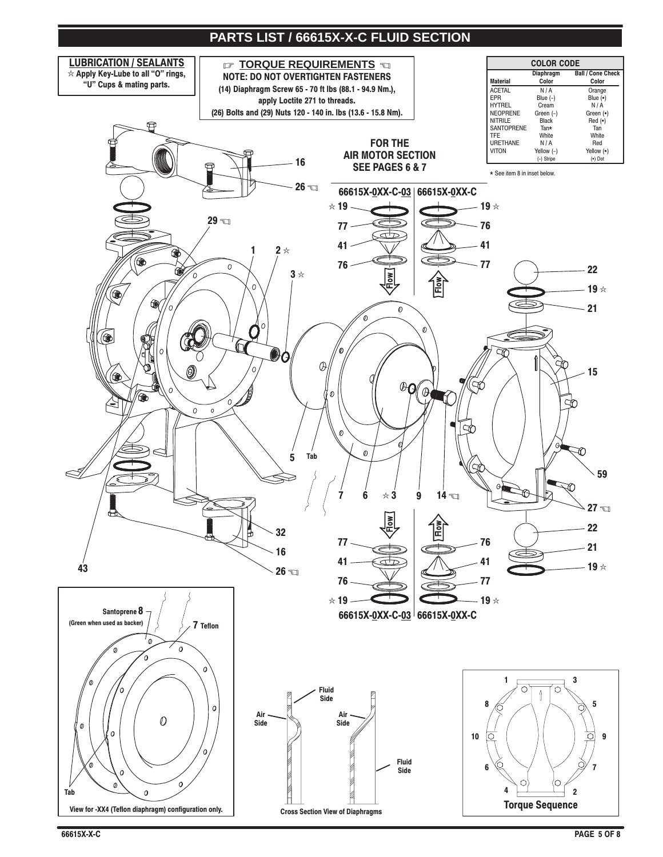## PARTS LIST / 66615X-X-C FLUID SECTION

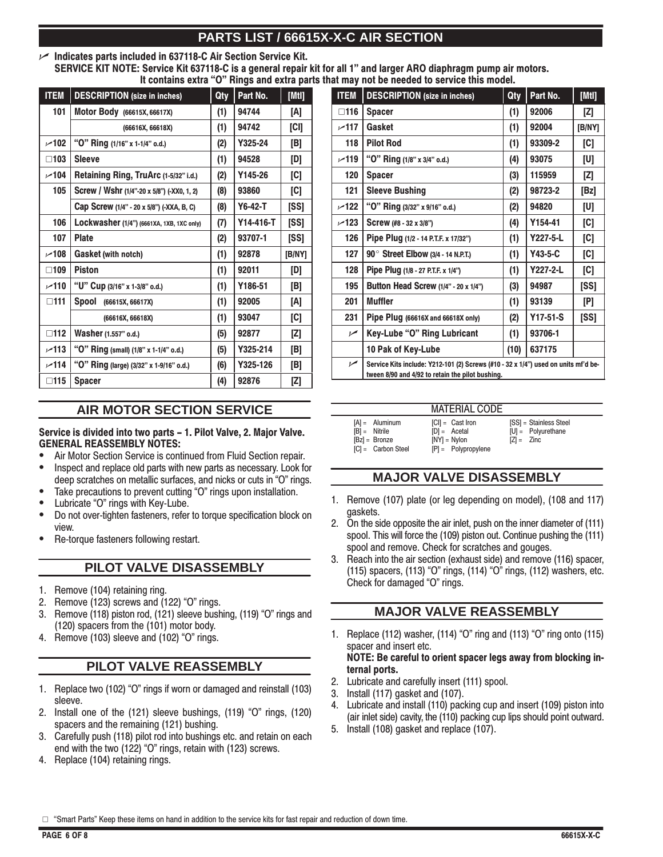## PARTS LIST / 66615X-X-C AIR SECTION

## Indicates parts included in 637118-C Air Section Service Kit.

SERVICE KIT NOTE: Service Kit 637118-C is a general repair kit for all 1" and larger ARO diaphragm pump air motors. It contains extra "O" Rings and extra parts that may not be needed to service this model.

| <b>ITEM</b>   | <b>DESCRIPTION</b> (size in inches)        | Qty | Part No.  | [[Mt]]      |
|---------------|--------------------------------------------|-----|-----------|-------------|
| 101           | Motor Body (66615X, 66617X)                | (1) | 94744     | [A]         |
|               | (66616X, 66618X)                           | (1) | 94742     | [CI]        |
| $-102$        | "O" Ring (1/16" x 1-1/4" o.d.)             | (2) | Y325-24   | [B]         |
| $\square$ 103 | <b>Sleeve</b>                              | (1) | 94528     | [D]         |
| $-104$        | Retaining Ring, TruArc (1-5/32" i.d.)      | (2) | Y145-26   | [C]         |
| 105           | Screw / Wshr (1/4"-20 x 5/8") (-XX0, 1, 2) | (8) | 93860     | [C]         |
|               | Cap Screw (1/4" - 20 x 5/8") (-XXA, B, C)  | (8) | $Y6-42-T$ | <b>ISSI</b> |
| 106           | Lockwasher (1/4") (6661XA, 1XB, 1XC only)  | (7) | Y14-416-T | [SS]        |
| 107           | <b>Plate</b>                               | (2) | 93707-1   | <b>ISSI</b> |
| $-108$        | Gasket (with notch)                        | (1) | 92878     | [B/NY]      |
| $\square$ 109 | <b>Piston</b>                              | (1) | 92011     | [D]         |
| $-110$        | "U" Cup (3/16" x 1-3/8" o.d.)              | (1) | Y186-51   | [B]         |
| $\square$ 111 | Spool<br>(66615X, 66617X)                  | (1) | 92005     | [A]         |
|               | (66616X, 66618X)                           | (1) | 93047     | [C]         |
| $\square$ 112 | Washer (1.557" o.d.)                       | (5) | 92877     | [Z]         |
| $-113$        | "O" Ring (small) (1/8" x 1-1/4" o.d.)      | (5) | Y325-214  | [B]         |
| $-114$        | "O" Ring (large) (3/32" x 1-9/16" o.d.)    | (6) | Y325-126  | [B]         |
| $\Box$ 115    | <b>Spacer</b>                              | (4) | 92876     | [Z]         |

## **AIR MOTOR SECTION SERVICE**

Service is divided into two parts - 1. Pilot Valve, 2. Major Valve. **GENERAL REASSEMBLY NOTES:** 

- Air Motor Section Service is continued from Fluid Section repair.  $\bullet$
- $\bullet$ Inspect and replace old parts with new parts as necessary. Look for deep scratches on metallic surfaces, and nicks or cuts in "O" rings.
- Take precautions to prevent cutting "O" rings upon installation.
- Lubricate "O" rings with Key-Lube.
- $\bullet$ Do not over-tighten fasteners, refer to torque specification block on view.
- Re-torque fasteners following restart.

## PILOT VALVE DISASSEMBLY

- 1. Remove (104) retaining ring.
- Remove (123) screws and (122) "O" rings.  $2.$
- Remove (118) piston rod, (121) sleeve bushing, (119) "O" rings and 3. (120) spacers from the (101) motor body.
- Remove (103) sleeve and (102) "O" rings.  $\overline{4}$

## PILOT VALVE REASSEMBLY

- 1. Replace two (102) "O" rings if worn or damaged and reinstall (103) sleeve.
- 2. Install one of the (121) sleeve bushings, (119) "O" rings, (120) spacers and the remaining (121) bushing.
- 3. Carefully push (118) pilot rod into bushings etc. and retain on each end with the two (122) "O" rings, retain with (123) screws.
- 4. Replace (104) retaining rings.

| <b>ITEM</b>    | <b>DESCRIPTION</b> (size in inches)                                                                                                    | Qty  | Part No.   | [[Mtl] |
|----------------|----------------------------------------------------------------------------------------------------------------------------------------|------|------------|--------|
| $\Box$ 116     | <b>Spacer</b>                                                                                                                          | (1)  | 92006      | [Z]    |
| ~117           | Gasket                                                                                                                                 | (1)  | 92004      | [B/NY] |
| 118            | <b>Pilot Rod</b>                                                                                                                       | (1)  | 93309-2    | [C]    |
| $-119$         | "O" Ring (1/8" x 3/4" o.d.)                                                                                                            | (4)  | 93075      | [U]    |
| 120            | <b>Spacer</b>                                                                                                                          | (3)  | 115959     | [Z]    |
| 121            | <b>Sleeve Bushing</b>                                                                                                                  | (2)  | 98723-2    | [Bz]   |
| $-122$         | "O" Ring (3/32" x 9/16" o.d.)                                                                                                          | (2)  | 94820      | [U]    |
| $-123$         | Screw (#8 - 32 x 3/8")                                                                                                                 | (4)  | Y154-41    | [C]    |
| 126            | Pipe Plug (1/2 - 14 P.T.F. x 17/32")                                                                                                   | (1)  | Y227-5-L   | [C]    |
| 127            | 90° Street Elbow (3/4 - 14 N.P.T.)                                                                                                     | (1)  | Y43-5-C    | [C]    |
| 128            | Pipe Plug (1/8 - 27 P.T.F. x 1/4")                                                                                                     | (1)  | Y227-2-L   | [C]    |
| 195            | Button Head Screw (1/4" - 20 x 1/4")                                                                                                   | (3)  | 94987      | [SS]   |
| 201            | <b>Muffler</b>                                                                                                                         | (1)  | 93139      | [P]    |
| 231            | Pipe Plug (66616X and 66618X only)                                                                                                     | (2)  | $Y17-51-S$ | [SS]   |
| $\sqrt{ }$     | Key-Lube "O" Ring Lubricant                                                                                                            | (1)  | 93706-1    |        |
|                | 10 Pak of Key-Lube                                                                                                                     | (10) | 637175     |        |
| $\overline{r}$ | Service Kits include: Y212-101 (2) Screws (#10 - 32 x 1/4") used on units mf'd be-<br>tween 8/90 and 4/92 to retain the pilot bushing. |      |            |        |

|                                                                                | <b>MATERIAL CODE</b>                                                            |                                                                |
|--------------------------------------------------------------------------------|---------------------------------------------------------------------------------|----------------------------------------------------------------|
| $[A] =$ Aluminum<br>$IB1 =$ Nitrile<br>$[Bz] =$ Bronze<br>$ C  =$ Carbon Steel | $ CI  =$ Cast Iron<br>$[D] = Acctal$<br>$[NY] = Nylon$<br>$[P] = Polypropylene$ | [SS] = Stainless Steel<br>$[U] =$ Polyurethane<br>$[Z] = Zinc$ |

## **MAJOR VALVE DISASSEMBLY**

- 1. Remove (107) plate (or leg depending on model), (108 and 117) gaskets.
- 2. On the side opposite the air inlet, push on the inner diameter of (111) spool. This will force the (109) piston out. Continue pushing the (111) spool and remove. Check for scratches and gouges.
- 3. Reach into the air section (exhaust side) and remove (116) spacer, (115) spacers, (113) "O" rings, (114) "O" rings, (112) washers, etc. Check for damaged "O" rings.

## **MAJOR VALVE REASSEMBLY**

- 1. Replace (112) washer, (114) "O" ring and (113) "O" ring onto (115) spacer and insert etc. NOTE: Be careful to orient spacer legs away from blocking in-
- ternal ports. 2. Lubricate and carefully insert (111) spool.
- 3. Install (117) gasket and (107).
- Lubricate and install (110) packing cup and insert (109) piston into 4 (air inlet side) cavity, the (110) packing cup lips should point outward.
- Install (108) gasket and replace (107). 5.

□ "Smart Parts" Keep these items on hand in addition to the service kits for fast repair and reduction of down time.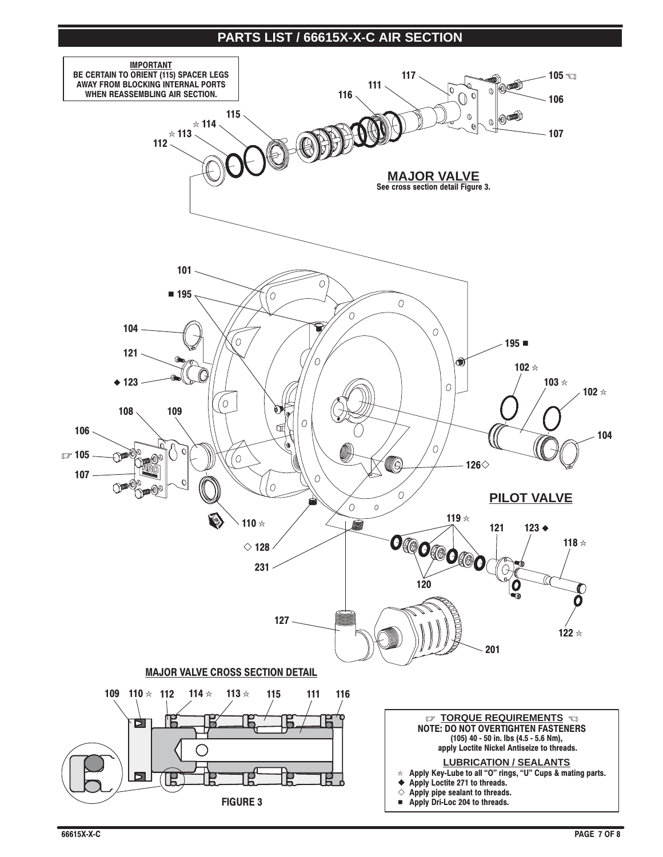## PARTS LIST / 66615X-X-C AIR SECTION